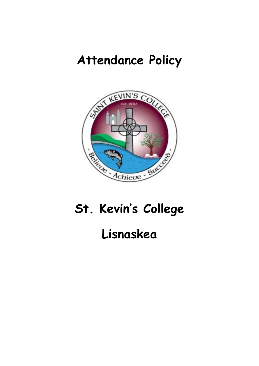## **Attendance Policy**



# **St. Kevin's College**

### **Lisnaskea**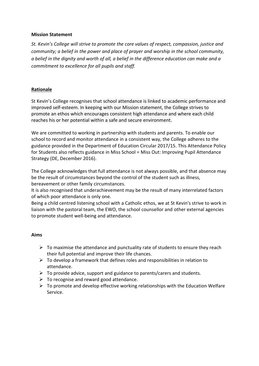#### **Mission Statement**

*St. Kevin's College will strive to promote the core values of respect, compassion, justice and community; a belief in the power and place of prayer and worship in the school community, a belief in the dignity and worth of all, a belief in the difference education can make and a commitment to excellence for all pupils and staff.*

#### **Rationale**

St Kevin's College recognises that school attendance is linked to academic performance and improved self-esteem. In keeping with our Mission statement, the College strives to promote an ethos which encourages consistent high attendance and where each child reaches his or her potential within a safe and secure environment.

We are committed to working in partnership with students and parents. To enable our school to record and monitor attendance in a consistent way, the College adheres to the guidance provided in the Department of Education Circular 2017/15. This Attendance Policy for Students also reflects guidance in Miss School = Miss Out: Improving Pupil Attendance Strategy (DE, December 2016).

The College acknowledges that full attendance is not always possible, and that absence may be the result of circumstances beyond the control of the student such as illness, bereavement or other family circumstances.

It is also recognised that underachievement may be the result of many interrelated factors of which poor attendance is only one.

Being a child centred listening school with a Catholic ethos, we at St Kevin's strive to work in liaison with the pastoral team, the EWO, the school counsellor and other external agencies to promote student well-being and attendance.

#### **Aims**

- $\triangleright$  To maximise the attendance and punctuality rate of students to ensure they reach their full potential and improve their life chances.
- $\triangleright$  To develop a framework that defines roles and responsibilities in relation to attendance.
- $\triangleright$  To provide advice, support and guidance to parents/carers and students.
- $\triangleright$  To recognise and reward good attendance.
- $\triangleright$  To promote and develop effective working relationships with the Education Welfare Service.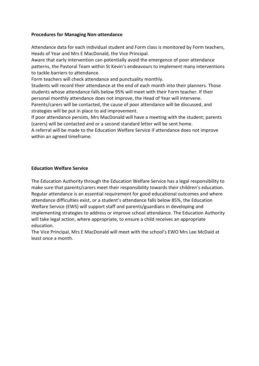#### **Procedures for Managing Non-attendance**

Attendance data for each individual student and Form class is monitored by Form teachers, Heads of Year and Mrs E MacDonald, the Vice Principal.

Aware that early intervention can potentially avoid the emergence of poor attendance patterns, the Pastoral Team within St Kevin's endeavours to implement many interventions to tackle barriers to attendance.

Form teachers will check attendance and punctuality monthly.

Students will record their attendance at the end of each month into their planners. Those students whose attendance falls below 95% will meet with their Form teacher. If their personal monthly attendance does not improve, the Head of Year will intervene. Parents/carers will be contacted, the cause of poor attendance will be discussed, and strategies will be put in place to aid improvement.

If poor attendance persists, Mrs MacDonald will have a meeting with the student; parents (carers) will be contacted and or a second standard letter will be sent home.

A referral will be made to the Education Welfare Service if attendance does not improve within an agreed timeframe.

#### **Education Welfare Service**

The Education Authority through the Education Welfare Service has a legal responsibility to make sure that parents/carers meet their responsibility towards their children's education. Regular attendance is an essential requirement for good educational outcomes and where attendance difficulties exist, or a student's attendance falls below 85%, the Education Welfare Service (EWS) will support staff and parents/guardians in developing and implementing strategies to address or improve school attendance. The Education Authority will take legal action, where appropriate, to ensure a child receives an appropriate education.

The Vice Principal, Mrs E MacDonald will meet with the school's EWO Mrs Lee McDaid at least once a month.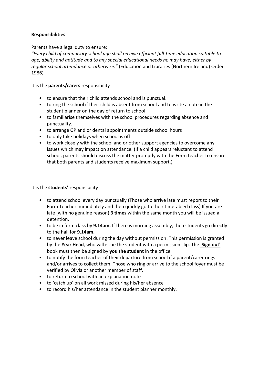#### **Responsibilities**

Parents have a legal duty to ensure:

*"Every child of compulsory school age shall receive efficient full-time education suitable to age, ability and aptitude and to any special educational needs he may have, either by regular school attendance or otherwise."* (Education and Libraries (Northern Ireland) Order 1986)

It is the **parents/carers** responsibility

- to ensure that their child attends school and is punctual.
- to ring the school if their child is absent from school and to write a note in the student planner on the day of return to school
- to familiarise themselves with the school procedures regarding absence and punctuality.
- to arrange GP and or dental appointments outside school hours
- to only take holidays when school is off
- to work closely with the school and or other support agencies to overcome any issues which may impact on attendance. (If a child appears reluctant to attend school, parents should discuss the matter promptly with the Form teacher to ensure that both parents and students receive maximum support.)

#### It is the **students'** responsibility

- to attend school every day punctually (Those who arrive late must report to their Form Teacher immediately and then quickly go to their timetabled class) If you are late (with no genuine reason) **3 times** within the same month you will be issued a detention.
- to be in form class by **9.14am.** If there is morning assembly, then students go directly to the hall for **9.14am.**
- to never leave school during the day without permission. This permission is granted by the **Year Head**, who will issue the student with a permission slip. The **'Sign out'** book must then be signed by **you the student** in the office.
- to notify the form teacher of their departure from school if a parent/carer rings and/or arrives to collect them. Those who ring or arrive to the school foyer must be verified by Olivia or another member of staff.
- to return to school with an explanation note
- to 'catch up' on all work missed during his/her absence
- to record his/her attendance in the student planner monthly.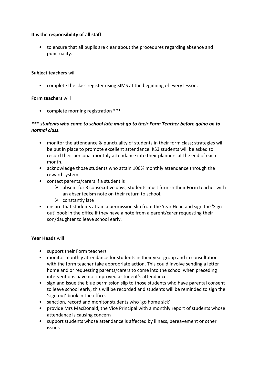#### **It is the responsibility of all staff**

• to ensure that all pupils are clear about the procedures regarding absence and punctuality.

#### **Subject teachers** will

• complete the class register using SIMS at the beginning of every lesson.

#### **Form teachers** will

• complete morning registration \*\*\*

#### *\*\*\* students who come to school late must go to their Form Teacher before going on to normal class.*

- monitor the attendance & punctuality of students in their form class; strategies will be put in place to promote excellent attendance. KS3 students will be asked to record their personal monthly attendance into their planners at the end of each month.
- acknowledge those students who attain 100% monthly attendance through the reward system
- contact parents/carers if a student is
	- $\triangleright$  absent for 3 consecutive days; students must furnish their Form teacher with an absenteeism note on their return to school.
	- $\triangleright$  constantly late
- ensure that students attain a permission slip from the Year Head and sign the 'Sign out' book in the office if they have a note from a parent/carer requesting their son/daughter to leave school early.

#### **Year Heads** will

- support their Form teachers
- monitor monthly attendance for students in their year group and in consultation with the form teacher take appropriate action. This could involve sending a letter home and or requesting parents/carers to come into the school when preceding interventions have not improved a student's attendance.
- sign and issue the blue permission slip to those students who have parental consent to leave school early; this will be recorded and students will be reminded to sign the 'sign out' book in the office.
- sanction, record and monitor students who 'go home sick'.
- provide Mrs MacDonald, the Vice Principal with a monthly report of students whose attendance is causing concern
- support students whose attendance is affected by illness, bereavement or other issues